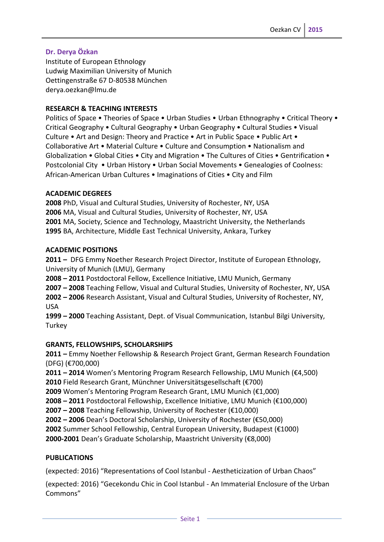# **Dr. Derya Özkan**

Institute of European Ethnology Ludwig Maximilian University of Munich Oettingenstraße 67 D-80538 München derya.oezkan@lmu.de

### **RESEARCH & TEACHING INTERESTS**

Politics of Space • Theories of Space • Urban Studies • Urban Ethnography • Critical Theory • Critical Geography • Cultural Geography • Urban Geography • Cultural Studies • Visual Culture • Art and Design: Theory and Practice • Art in Public Space • Public Art • Collaborative Art • Material Culture • Culture and Consumption • Nationalism and Globalization • Global Cities • City and Migration • The Cultures of Cities • Gentrification • Postcolonial City • Urban History • Urban Social Movements • Genealogies of Coolness: African-American Urban Cultures • Imaginations of Cities • City and Film

### **ACADEMIC DEGREES**

PhD, Visual and Cultural Studies, University of Rochester, NY, USA MA, Visual and Cultural Studies, University of Rochester, NY, USA MA, Society, Science and Technology, Maastricht University, the Netherlands BA, Architecture, Middle East Technical University, Ankara, Turkey

#### **ACADEMIC POSITIONS**

**2011 –** DFG Emmy Noether Research Project Director, Institute of European Ethnology, University of Munich (LMU), Germany

**2008 – 2011** Postdoctoral Fellow, Excellence Initiative, LMU Munich, Germany

**2007 – 2008** Teaching Fellow, Visual and Cultural Studies, University of Rochester, NY, USA

**2002 – 2006** Research Assistant, Visual and Cultural Studies, University of Rochester, NY, USA

**1999 – 2000** Teaching Assistant, Dept. of Visual Communication, Istanbul Bilgi University, Turkey

### **GRANTS, FELLOWSHIPS, SCHOLARSHIPS**

**2011 –** Emmy Noether Fellowship & Research Project Grant, German Research Foundation (DFG) (€700,000)

**2011 – 2014** Women's Mentoring Program Research Fellowship, LMU Munich (€4,500) **2010** Field Research Grant, Münchner Universitätsgesellschaft (€700)

**2009** Women's Mentoring Program Research Grant, LMU Munich (€1,000)

**2008 – 2011** Postdoctoral Fellowship, Excellence Initiative, LMU Munich (€100,000)

**2007 – 2008** Teaching Fellowship, University of Rochester (€10,000)

**2002 – 2006** Dean's Doctoral Scholarship, University of Rochester (€50,000)

**2002** Summer School Fellowship, Central European University, Budapest (€1000)

**2000-2001** Dean's Graduate Scholarship, Maastricht University (€8,000)

### **PUBLICATIONS**

(expected: 2016) "Representations of Cool Istanbul - Aestheticization of Urban Chaos"

(expected: 2016) "Gecekondu Chic in Cool Istanbul - An Immaterial Enclosure of the Urban Commons"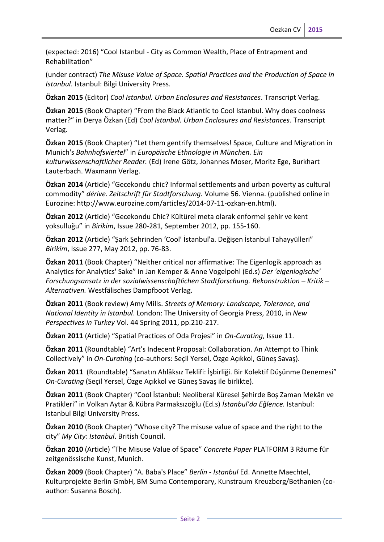(expected: 2016) "Cool Istanbul - City as Common Wealth, Place of Entrapment and Rehabilitation"

(under contract) *The Misuse Value of Space. Spatial Practices and the Production of Space in Istanbul*. Istanbul: Bilgi University Press.

**Özkan 2015** (Editor) *Cool Istanbul. Urban Enclosures and Resistances*. Transcript Verlag.

**Özkan 2015** (Book Chapter) "From the Black Atlantic to Cool Istanbul. Why does coolness matter?" in Derya Özkan (Ed) *Cool Istanbul. Urban Enclosures and Resistances*. Transcript Verlag.

**Özkan 2015** (Book Chapter) "Let them gentrify themselves! Space, Culture and Migration in Munich's *Bahnhofsviertel*" in *Europäische Ethnologie in München. Ein kulturwissenschaftlicher Reader.* (Ed) Irene Götz, Johannes Moser, Moritz Ege, Burkhart Lauterbach. Waxmann Verlag.

**Özkan 2014** (Article) "Gecekondu chic? Informal settlements and urban poverty as cultural commodity" *dérive. Zeitschrift für Stadtforschung.* Volume 56. Vienna. (published online in Eurozine: http://www.eurozine.com/articles/2014-07-11-ozkan-en.html).

**Özkan 2012** (Article) "Gecekondu Chic? Kültürel meta olarak enformel şehir ve kent yoksulluğu" in *Birikim*, Issue 280-281, September 2012, pp. 155-160.

**Özkan 2012** (Article) "Şark Şehrinden 'Cool' İstanbul'a. Değişen İstanbul Tahayyülleri" *Birikim*, Issue 277, May 2012, pp. 76-83.

**Özkan 2011** (Book Chapter) "Neither critical nor affirmative: The Eigenlogik approach as Analytics for Analytics' Sake" in Jan Kemper & Anne Vogelpohl (Ed.s) *Der 'eigenlogische' Forschungsansatz in der sozialwissenschaftlichen Stadtforschung. Rekonstruktion – Kritik – Alternativen.* Westfälisches Dampfboot Verlag.

**Özkan 2011** (Book review) Amy Mills. *Streets of Memory: Landscape, Tolerance, and National Identity in Istanbul*. London: The University of Georgia Press, 2010, in *New Perspectives in Turkey* Vol. 44 Spring 2011, pp.210-217.

**Özkan 2011** (Article) "Spatial Practices of Oda Projesi" in *On-Curating*, Issue 11.

**Özkan 2011** (Roundtable) "Art's Indecent Proposal: Collaboration. An Attempt to Think Collectively" in *On-Curating* (co-authors: Seçil Yersel, Özge Açıkkol, Güneş Savaş).

**Özkan 2011** (Roundtable) "Sanatın Ahlâksız Teklifi: İşbirliği. Bir Kolektif Düşünme Denemesi" *On-Curating* (Seçil Yersel, Özge Açıkkol ve Güneş Savaş ile birlikte).

**Özkan 2011** (Book Chapter) "Cool İstanbul: Neoliberal Küresel Şehirde Boş Zaman Mekân ve Pratikleri" in Volkan Aytar & Kübra Parmaksızoğlu (Ed.s) *İstanbul'da Eğlence.* Istanbul: Istanbul Bilgi University Press.

**Özkan 2010** (Book Chapter) "Whose city? The misuse value of space and the right to the city" *My City: Istanbul*. British Council.

**Özkan 2010** (Article) "The Misuse Value of Space" *Concrete Paper* PLATFORM 3 Räume für zeitgenössische Kunst, Munich.

**Özkan 2009** (Book Chapter) "A. Baba's Place" *Berlin - Istanbul* Ed. Annette Maechtel, Kulturprojekte Berlin GmbH, BM Suma Contemporary, Kunstraum Kreuzberg/Bethanien (coauthor: Susanna Bosch).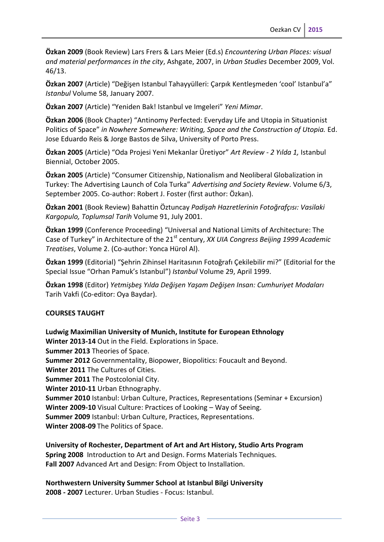**Özkan 2009** (Book Review) Lars Frers & Lars Meier (Ed.s) *Encountering Urban Places: visual and material performances in the city*, Ashgate, 2007, in *Urban Studies* December 2009, Vol. 46/13.

**Özkan 2007** (Article) "Değişen Istanbul Tahayyülleri: Çarpık Kentleşmeden 'cool' Istanbul'a" *Istanbul* Volume 58, January 2007.

**Özkan 2007** (Article) "Yeniden Bak! Istanbul ve Imgeleri" *Yeni Mimar*.

**Özkan 2006** (Book Chapter) "Antinomy Perfected: Everyday Life and Utopia in Situationist Politics of Space" in Nowhere Somewhere: Writing, Space and the Construction of Utopia. Ed. Jose Eduardo Reis & Jorge Bastos de Silva, University of Porto Press.

**Özkan 2005** (Article) "Oda Projesi Yeni Mekanlar Üretiyor" *Art Review - 2 Yılda 1,* Istanbul Biennial, October 2005.

**Özkan 2005** (Article) "Consumer Citizenship, Nationalism and Neoliberal Globalization in Turkey: The Advertising Launch of Cola Turka" *Advertising and Society Review*. Volume 6/3, September 2005. Co-author: Robert J. Foster (first author: Özkan).

**Özkan 2001** (Book Review) Bahattin Öztuncay *Padişah Hazretlerinin Fotoğrafçısı: Vasilaki Kargopulo, Toplumsal Tarih* Volume 91, July 2001.

**Özkan 1999** (Conference Proceeding) "Universal and National Limits of Architecture: The Case of Turkey" in Architecture of the 21<sup>st</sup> century, *XX UIA Congress Beijing 1999 Academic Treatises*, Volume 2. (Co-author: Yonca Hürol Al).

**Özkan 1999** (Editorial) "Şehrin Zihinsel Haritasının Fotoğrafı Çekilebilir mi?" (Editorial for the Special Issue "Orhan Pamuk's Istanbul") *Istanbul* Volume 29, April 1999.

**Özkan 1998** (Editor) *Yetmişbeş Yılda Değişen Yaşam Değişen Insan: Cumhuriyet Modaları* Tarih Vakfi (Co-editor: Oya Baydar).

### **COURSES TAUGHT**

**Ludwig Maximilian University of Munich, Institute for European Ethnology Winter 2013-14** Out in the Field. Explorations in Space. **Summer 2013** Theories of Space. **Summer 2012** Governmentality, Biopower, Biopolitics: Foucault and Beyond. **Winter 2011** The Cultures of Cities. **Summer 2011** The Postcolonial City. **Winter 2010-11** Urban Ethnography. **Summer 2010** Istanbul: Urban Culture, Practices, Representations (Seminar + Excursion) **Winter 2009-10** Visual Culture: Practices of Looking – Way of Seeing. **Summer 2009** Istanbul: Urban Culture, Practices, Representations. **Winter 2008-09** The Politics of Space.

**University of Rochester, Department of Art and Art History, Studio Arts Program Spring 2008** Introduction to Art and Design. Forms Materials Techniques. **Fall 2007** Advanced Art and Design: From Object to Installation.

**Northwestern University Summer School at Istanbul Bilgi University 2008 - 2007** Lecturer. Urban Studies - Focus: Istanbul.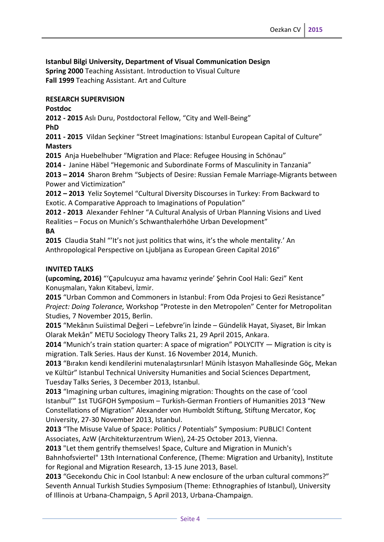**Istanbul Bilgi University, Department of Visual Communication Design Spring 2000** Teaching Assistant. Introduction to Visual Culture **Fall 1999** Teaching Assistant. Art and Culture

### **RESEARCH SUPERVISION**

**Postdoc**

**2012 - 2015** Aslı Duru, Postdoctoral Fellow, "City and Well-Being"

**PhD**

**2011 - 2015** Vildan Seçkiner "Street Imaginations: Istanbul European Capital of Culture" **Masters**

**2015** Anja Huebelhuber "Migration and Place: Refugee Housing in Schönau"

**2014 -** Janine Häbel "Hegemonic and Subordinate Forms of Masculinity in Tanzania"

**2013 – 2014** Sharon Brehm "Subjects of Desire: Russian Female Marriage-Migrants between Power and Victimization"

**2012 – 2013** Yeliz Soytemel "Cultural Diversity Discourses in Turkey: From Backward to Exotic. A Comparative Approach to Imaginations of Population"

**2012 - 2013** Alexander Fehlner "A Cultural Analysis of Urban Planning Visions and Lived Realities – Focus on Munich's Schwanthalerhöhe Urban Development"

# **BA**

**2015** Claudia Stahl "'It's not just politics that wins, it's the whole mentality.' An Anthropological Perspective on Ljubljana as European Green Capital 2016"

### **INVITED TALKS**

**(upcoming, 2016)** "'Çapulcuyuz ama havamız yerinde' Şehrin Cool Hali: Gezi" Kent Konuşmaları, Yakın Kitabevi, İzmir.

**2015** "Urban Common and Commoners in Istanbul: From Oda Projesi to Gezi Resistance" *Project: Doing Tolerance,* Workshop "Proteste in den Metropolen" Center for Metropolitan Studies, 7 November 2015, Berlin.

**2015** "Mekânın Suiistimal Değeri – Lefebvre'in İzinde – Gündelik Hayat, Siyaset, Bir İmkan Olarak Mekân" METU Sociology Theory Talks 21, 29 April 2015, Ankara.

**2014** "Munich's train station quarter: A space of migration" POLYCITY — Migration is city is migration. Talk Series. Haus der Kunst. 16 November 2014, Munich.

**2013** "Bırakın kendi kendilerini mutenalaştırsınlar! Münih İstasyon Mahallesinde Göç, Mekan ve Kültür" Istanbul Technical University Humanities and Social Sciences Department, Tuesday Talks Series, 3 December 2013, Istanbul.

**2013** "Imagining urban cultures, imagining migration: Thoughts on the case of 'cool Istanbul'" 1st TUGFOH Symposium – Turkish-German Frontiers of Humanities 2013 "New Constellations of Migration" Alexander von Humboldt Stiftung, Stiftung Mercator, Koç University, 27-30 November 2013, Istanbul.

**2013** "The Misuse Value of Space: Politics / Potentials" Symposium: PUBLIC! Content Associates, AzW (Architekturzentrum Wien), 24-25 October 2013, Vienna.

**2013** "Let them gentrify themselves! Space, Culture and Migration in Munich's Bahnhofsviertel" 13th International Conference, (Theme: Migration and Urbanity), Institute for Regional and Migration Research, 13-15 June 2013, Basel.

**2013** "Gecekondu Chic in Cool Istanbul: A new enclosure of the urban cultural commons?" Seventh Annual Turkish Studies Symposium (Theme: Ethnographies of Istanbul), University of Illinois at Urbana-Champaign, 5 April 2013, Urbana-Champaign.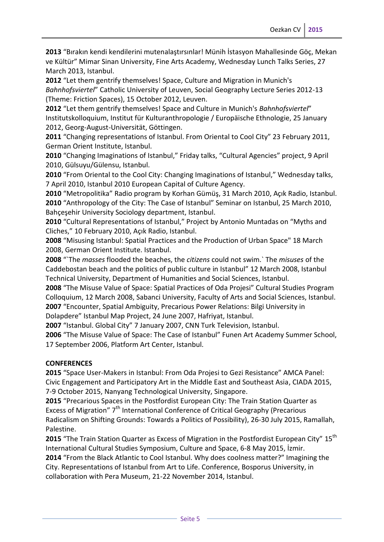**2013** "Bırakın kendi kendilerini mutenalaştırsınlar! Münih İstasyon Mahallesinde Göç, Mekan ve Kültür" Mimar Sinan University, Fine Arts Academy, Wednesday Lunch Talks Series, 27 March 2013, Istanbul.

**2012** "Let them gentrify themselves! Space, Culture and Migration in Munich's *Bahnhofsviertel*" Catholic University of Leuven, Social Geography Lecture Series 2012-13 (Theme: Friction Spaces), 15 October 2012, Leuven.

**2012** "Let them gentrify themselves! Space and Culture in Munich's *Bahnhofsviertel*" Institutskolloquium, Institut für Kulturanthropologie / Europäische Ethnologie, 25 January 2012, Georg-August-Universität, Göttingen.

**2011** "Changing representations of Istanbul. From Oriental to Cool City" 23 February 2011, German Orient Institute, Istanbul.

**2010** "Changing Imaginations of Istanbul," Friday talks, "Cultural Agencies" project, 9 April 2010, Gülsuyu/Gülensu, Istanbul.

**2010** "From Oriental to the Cool City: Changing Imaginations of Istanbul," Wednesday talks, 7 April 2010, Istanbul 2010 European Capital of Culture Agency.

**2010** "Metropolitika" Radio program by Korhan Gümüş, 31 March 2010, Açık Radio, Istanbul. **2010** "Anthropology of the City: The Case of Istanbul" Seminar on Istanbul, 25 March 2010, Bahçeşehir University Sociology department, Istanbul.

**2010** "Cultural Representations of Istanbul," Project by Antonio Muntadas on "Myths and Cliches," 10 February 2010, Açık Radio, Istanbul.

**2008** "Misusing Istanbul: Spatial Practices and the Production of Urban Space" 18 March 2008, German Orient Institute. Istanbul.

**2008** "`The *masses* flooded the beaches, the *citizens* could not swim.` The *misuses* of the Caddebostan beach and the politics of public culture in Istanbul" 12 March 2008, Istanbul Technical University, Department of Humanities and Social Sciences, Istanbul.

**2008** "The Misuse Value of Space: Spatial Practices of Oda Projesi" Cultural Studies Program Colloquium, 12 March 2008, Sabanci University, Faculty of Arts and Social Sciences, Istanbul. **2007** "Encounter, Spatial Ambiguity, Precarious Power Relations: Bilgi University in Dolapdere" Istanbul Map Project, 24 June 2007, Hafriyat, Istanbul.

**2007** "Istanbul. Global City" 7 January 2007, CNN Turk Television, Istanbul.

**2006** "The Misuse Value of Space: The Case of Istanbul" Funen Art Academy Summer School, 17 September 2006, Platform Art Center, Istanbul.

# **CONFERENCES**

**2015** "Space User-Makers in Istanbul: From Oda Projesi to Gezi Resistance" AMCA Panel: Civic Engagement and Participatory Art in the Middle East and Southeast Asia, CIADA 2015, 7-9 October 2015, Nanyang Technological University, Singapore.

**2015** "Precarious Spaces in the Postfordist European City: The Train Station Quarter as Excess of Migration" 7<sup>th</sup> International Conference of Critical Geography (Precarious Radicalism on Shifting Grounds: Towards a Politics of Possibility), 26-30 July 2015, Ramallah, Palestine.

**2015** "The Train Station Quarter as Excess of Migration in the Postfordist European City" 15<sup>th</sup> International Cultural Studies Symposium, Culture and Space, 6-8 May 2015, İzmir. **2014** "From the Black Atlantic to Cool Istanbul. Why does coolness matter?" Imagining the

City. Representations of Istanbul from Art to Life. Conference, Bosporus University, in collaboration with Pera Museum, 21-22 November 2014, Istanbul.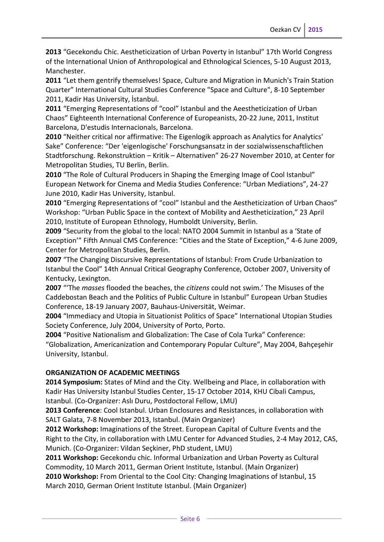**2013** "Gecekondu Chic. Aestheticization of Urban Poverty in Istanbul" 17th World Congress of the International Union of Anthropological and Ethnological Sciences, 5-10 August 2013, Manchester.

**2011** "Let them gentrify themselves! Space, Culture and Migration in Munich's Train Station Quarter" International Cultural Studies Conference "Space and Culture", 8-10 September 2011, Kadir Has University, İstanbul.

**2011** "Emerging Representations of "cool" Istanbul and the Aeestheticization of Urban Chaos" Eighteenth International Conference of Europeanists, 20-22 June, 2011, Institut Barcelona, D'estudis Internacionals, Barcelona.

**2010** "Neither critical nor affirmative: The Eigenlogik approach as Analytics for Analytics' Sake" Conference: "Der 'eigenlogische' Forschungsansatz in der sozialwissenschaftlichen Stadtforschung. Rekonstruktion – Kritik – Alternativen" 26-27 November 2010, at Center for Metropolitan Studies, TU Berlin, Berlin.

**2010** "The Role of Cultural Producers in Shaping the Emerging Image of Cool Istanbul" European Network for Cinema and Media Studies Conference: "Urban Mediations", 24-27 June 2010, Kadir Has University, Istanbul.

**2010** "Emerging Representations of "cool" Istanbul and the Aestheticization of Urban Chaos" Workshop: "Urban Public Space in the context of Mobility and Aestheticization," 23 April 2010, Institute of European Ethnology, Humboldt University, Berlin.

**2009** "Security from the global to the local: NATO 2004 Summit in Istanbul as a 'State of Exception'" Fifth Annual CMS Conference: "Cities and the State of Exception," 4-6 June 2009, Center for Metropolitan Studies, Berlin.

**2007** "The Changing Discursive Representations of Istanbul: From Crude Urbanization to Istanbul the Cool" 14th Annual Critical Geography Conference, October 2007, University of Kentucky, Lexington.

**2007** "'The *masses* flooded the beaches, the *citizens* could not swim.' The Misuses of the Caddebostan Beach and the Politics of Public Culture in Istanbul" European Urban Studies Conference, 18-19 January 2007, Bauhaus-Universität, Weimar.

**2004** "Immediacy and Utopia in Situationist Politics of Space" International Utopian Studies Society Conference, July 2004, University of Porto, Porto.

**2004** "Positive Nationalism and Globalization: The Case of Cola Turka" Conference: "Globalization, Americanization and Contemporary Popular Culture", May 2004, Bahçeşehir University, Istanbul.

# **ORGANIZATION OF ACADEMIC MEETINGS**

**2014 Symposium:** States of Mind and the City. Wellbeing and Place, in collaboration with Kadir Has University Istanbul Studies Center, 15-17 October 2014, KHU Cibali Campus, Istanbul. (Co-Organizer: Aslı Duru, Postdoctoral Fellow, LMU)

**2013 Conference**: Cool Istanbul. Urban Enclosures and Resistances, in collaboration with SALT Galata, 7-8 November 2013, Istanbul. (Main Organizer)

**2012 Workshop:** Imaginations of the Street. European Capital of Culture Events and the Right to the City, in collaboration with LMU Center for Advanced Studies, 2-4 May 2012, CAS, Munich. (Co-Organizer: Vildan Seçkiner, PhD student, LMU)

**2011 Workshop:** Gecekondu chic. Informal Urbanization and Urban Poverty as Cultural Commodity, 10 March 2011, German Orient Institute, Istanbul. (Main Organizer) **2010 Workshop:** From Oriental to the Cool City: Changing Imaginations of Istanbul, 15 March 2010, German Orient Institute Istanbul. (Main Organizer)